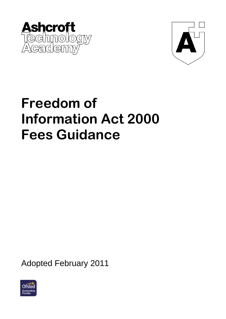



# **Freedom of Information Act 2000 Fees Guidance**

Adopted February 2011

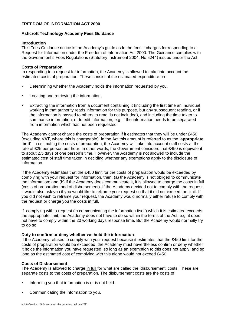# **FREEDOM OF INFORMATION ACT 2000**

#### **Ashcroft Technology Academy Fees Guidance**

#### **Introduction**

This Fees Guidance notice is the Academy"s guide as to the fees it charges for responding to a Request for Information under the Freedom of Information Act 2000. The Guidance complies with the Government"s Fees Regulations (Statutory Instrument 2004, No 3244) issued under the Act.

#### **Costs of Preparation**

In responding to a request for information, the Academy is allowed to take into account the estimated costs of preparation. These consist of the estimated expenditure on:

- Determining whether the Academy holds the information requested by you.
- Locating and retrieving the information.
- Extracting the information from a document containing it (including the first time an individual working in that authority reads information for this purpose, but any subsequent reading, or if the information is passed to others to read, is not included), and including the time taken to summarise information, or to edit information, e.g. if the information needs to be separated from information which has not been requested.

The Academy cannot charge the costs of preparation if it estimates that they will be under £450 (excluding VAT, where this is chargeable). In the Act this amount is referred to as the "**appropriate limit**'. In estimating the costs of preparation, the Academy will take into account staff costs at the rate of £25 per person per hour. In other words, the Government considers that £450 is equivalent to about 2.5 days of one person"s time. However, the Academy is not allowed to include the estimated cost of staff time taken in deciding whether any exemptions apply to the disclosure of information.

If the Academy estimates that the £450 limit for the costs of preparation would be exceeded by complying with your request for information, then: (a) the Academy is not obliged to communicate the information; and (b) if the Academy does communicate it, it is allowed to charge the costs in full (costs of preparation and of disbursement). If the Academy decided not to comply with the request, it would also ask you if you would like to reframe your request so that it did not exceed the limit. If you did not wish to reframe your request, the Academy would normally either refuse to comply with the request or charge you the costs in full.

If complying with a request (in communicating the information itself) which it is estimated exceeds the appropriate limit, the Academy does not have to do so within the terms of the Act, e.g. it does not have to comply within the 20 working days response time. But the Academy would normally try to do so.

#### **Duty to confirm or deny whether we hold the information**

If the Academy refuses to comply with your request because it estimates that the £450 limit for the costs of preparation would be exceeded, the Academy must nevertheless confirm or deny whether it holds the information you have requested, so long as an exemption to this does not apply, and so long as the estimated cost of complying with this alone would not exceed £450.

#### **Costs of Disbursement**

The Academy is allowed to charge in full for what are called the 'disbursement' costs. These are separate costs to the costs of preparation. The disbursement costs are the costs of:

- Informing you that information is or is not held.
- Communicating the information to you.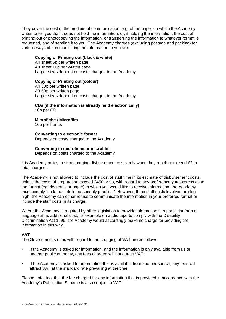They cover the cost of the medium of communication, e.g. of the paper on which the Academy writes to tell you that it does not hold the information; or, if holding the information, the cost of printing out or photocopying the information, or transferring the information to whatever format is requested, and of sending it to you. The Academy charges (excluding postage and packing) for various ways of communicating the information to you are:

# **Copying or Printing out (black & white)**

A4 sheet 5p per written page A3 sheet 10p per written page Larger sizes depend on costs charged to the Academy

# **Copying or Printing out (colour)**

A4 30p per written page A3 50p per written page Larger sizes depend on costs charged to the Academy

#### **CDs (if the information is already held electronically)**  10p per CD.

# **Microfiche / Microfilm**

10p per frame.

# **Converting to electronic format**  Depends on costs charged to the Academy

#### . **Converting to microfiche or microfilm**

Depends on costs charged to the Academy

It is Academy policy to start charging disbursement costs only when they reach or exceed £2 in total charges.

The Academy is not allowed to include the cost of staff time in its estimate of disbursement costs, unless the costs of preparation exceed £450. Also, with regard to any preference you express as to the format (eg electronic or paper) in which you would like to receive information, the Academy must comply "so far as this is reasonably practical". However, if the staff costs involved are too high, the Academy can either refuse to communicate the information in your preferred format or include the staff costs in its charge.

Where the Academy is required by other legislation to provide information in a particular form or language at no additional cost, for example on audio tape to comply with the Disability Discrimination Act 1995, the Academy would accordingly make no charge for providing the information in this way.

# **VAT**

The Government's rules with regard to the charging of VAT are as follows:

- If the Academy is asked for information, and the information is only available from us or another public authority, any fees charged will not attract VAT.
- If the Academy is asked for information that is available from another source, any fees will attract VAT at the standard rate prevailing at the time.

Please note, too, that the fee charged for any information that is provided in accordance with the Academy"s Publication Scheme is also subject to VAT.